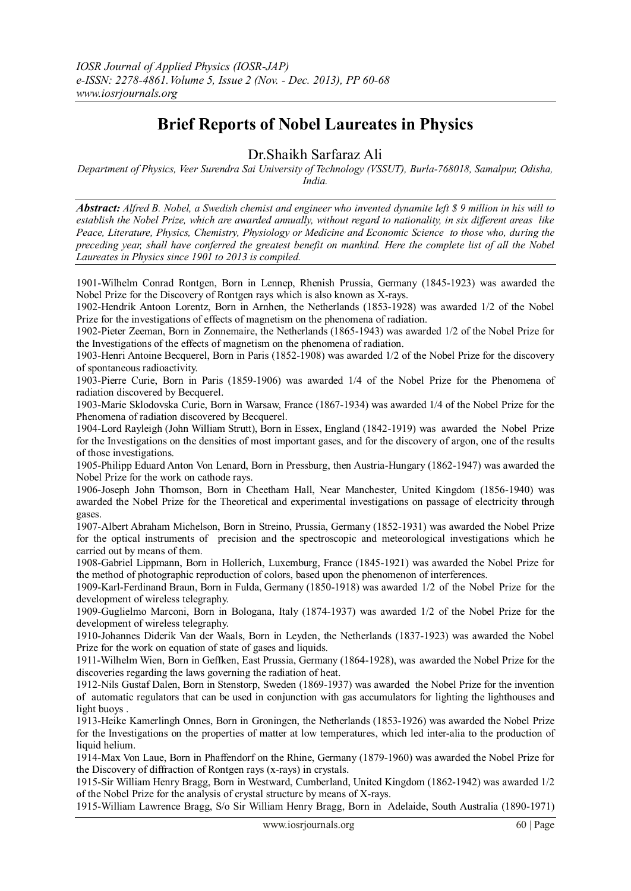## **Brief Reports of Nobel Laureates in Physics**

Dr.Shaikh Sarfaraz Ali

*Department of Physics, Veer Surendra Sai University of Technology (VSSUT), Burla-768018, Samalpur, Odisha, India.*

*Abstract: Alfred B. Nobel, a Swedish chemist and engineer who invented dynamite left \$ 9 million in his will to establish the Nobel Prize, which are awarded annually, without regard to nationality, in six different areas like Peace, Literature, Physics, Chemistry, Physiology or Medicine and Economic Science to those who, during the preceding year, shall have conferred the greatest benefit on mankind. Here the complete list of all the Nobel Laureates in Physics since 1901 to 2013 is compiled.*

1901-Wilhelm Conrad Rontgen, Born in Lennep, Rhenish Prussia, Germany (1845-1923) was awarded the Nobel Prize for the Discovery of Rontgen rays which is also known as X-rays.

1902-Hendrik Antoon Lorentz, Born in Arnhen, the Netherlands (1853-1928) was awarded 1/2 of the Nobel Prize for the investigations of effects of magnetism on the phenomena of radiation.

1902-Pieter Zeeman, Born in Zonnemaire, the Netherlands (1865-1943) was awarded 1/2 of the Nobel Prize for the Investigations of the effects of magnetism on the phenomena of radiation.

1903-Henri Antoine Becquerel, Born in Paris (1852-1908) was awarded 1/2 of the Nobel Prize for the discovery of spontaneous radioactivity.

1903-Pierre Curie, Born in Paris (1859-1906) was awarded 1/4 of the Nobel Prize for the Phenomena of radiation discovered by Becquerel.

1903-Marie Sklodovska Curie, Born in Warsaw, France (1867-1934) was awarded 1/4 of the Nobel Prize for the Phenomena of radiation discovered by Becquerel.

1904-Lord Rayleigh (John William Strutt), Born in Essex, England (1842-1919) was awarded the Nobel Prize for the Investigations on the densities of most important gases, and for the discovery of argon, one of the results of those investigations.

1905-Philipp Eduard Anton Von Lenard, Born in Pressburg, then Austria-Hungary (1862-1947) was awarded the Nobel Prize for the work on cathode rays.

1906-Joseph John Thomson, Born in Cheetham Hall, Near Manchester, United Kingdom (1856-1940) was awarded the Nobel Prize for the Theoretical and experimental investigations on passage of electricity through gases.

1907-Albert Abraham Michelson, Born in Streino, Prussia, Germany (1852-1931) was awarded the Nobel Prize for the optical instruments of precision and the spectroscopic and meteorological investigations which he carried out by means of them.

1908-Gabriel Lippmann, Born in Hollerich, Luxemburg, France (1845-1921) was awarded the Nobel Prize for the method of photographic reproduction of colors, based upon the phenomenon of interferences.

1909-Karl-Ferdinand Braun, Born in Fulda, Germany (1850-1918) was awarded 1/2 of the Nobel Prize for the development of wireless telegraphy.

1909-Guglielmo Marconi, Born in Bologana, Italy (1874-1937) was awarded 1/2 of the Nobel Prize for the development of wireless telegraphy.

1910-Johannes Diderik Van der Waals, Born in Leyden, the Netherlands (1837-1923) was awarded the Nobel Prize for the work on equation of state of gases and liquids.

1911-Wilhelm Wien, Born in Geffken, East Prussia, Germany (1864-1928), was awarded the Nobel Prize for the discoveries regarding the laws governing the radiation of heat.

1912-Nils Gustaf Dalen, Born in Stenstorp, Sweden (1869-1937) was awarded the Nobel Prize for the invention of automatic regulators that can be used in conjunction with gas accumulators for lighting the lighthouses and light buoys .

1913-Heike Kamerlingh Onnes, Born in Groningen, the Netherlands (1853-1926) was awarded the Nobel Prize for the Investigations on the properties of matter at low temperatures, which led inter-alia to the production of liquid helium.

1914-Max Von Laue, Born in Phaffendorf on the Rhine, Germany (1879-1960) was awarded the Nobel Prize for the Discovery of diffraction of Rontgen rays (x-rays) in crystals.

1915-Sir William Henry Bragg, Born in Westward, Cumberland, United Kingdom (1862-1942) was awarded 1/2 of the Nobel Prize for the analysis of crystal structure by means of X-rays.

1915-William Lawrence Bragg, S/o Sir William Henry Bragg, Born in Adelaide, South Australia (1890-1971)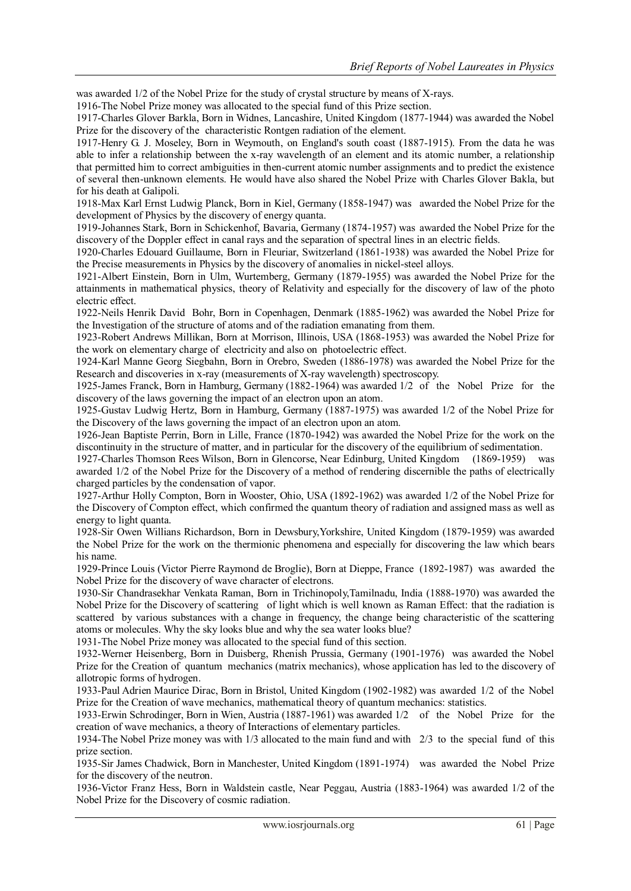was awarded 1/2 of the Nobel Prize for the study of crystal structure by means of X-rays.

1916-The Nobel Prize money was allocated to the special fund of this Prize section.

1917-Charles Glover Barkla, Born in Widnes, Lancashire, United Kingdom (1877-1944) was awarded the Nobel Prize for the discovery of the characteristic Rontgen radiation of the element.

1917-Henry G. J. Moseley, Born in Weymouth, on England's south coast (1887-1915). From the data he was able to infer a relationship between the x-ray wavelength of an element and its atomic number, a relationship that permitted him to correct ambiguities in then-current atomic number assignments and to predict the existence of several then-unknown elements. He would have also shared the Nobel Prize with Charles Glover Bakla, but for his death at Galipoli.

1918-Max Karl Ernst Ludwig Planck, Born in Kiel, Germany (1858-1947) was awarded the Nobel Prize for the development of Physics by the discovery of energy quanta.

1919-Johannes Stark, Born in Schickenhof, Bavaria, Germany (1874-1957) was awarded the Nobel Prize for the discovery of the Doppler effect in canal rays and the separation of spectral lines in an electric fields.

1920-Charles Edouard Guillaume, Born in Fleuriar, Switzerland (1861-1938) was awarded the Nobel Prize for the Precise measurements in Physics by the discovery of anomalies in nickel-steel alloys.

1921-Albert Einstein, Born in Ulm, Wurtemberg, Germany (1879-1955) was awarded the Nobel Prize for the attainments in mathematical physics, theory of Relativity and especially for the discovery of law of the photo electric effect.

1922-Neils Henrik David Bohr, Born in Copenhagen, Denmark (1885-1962) was awarded the Nobel Prize for the Investigation of the structure of atoms and of the radiation emanating from them.

1923-Robert Andrews Millikan, Born at Morrison, Illinois, USA (1868-1953) was awarded the Nobel Prize for the work on elementary charge of electricity and also on photoelectric effect.

1924-Karl Manne Georg Siegbahn, Born in Orebro, Sweden (1886-1978) was awarded the Nobel Prize for the Research and discoveries in x-ray (measurements of X-ray wavelength) spectroscopy.

1925-James Franck, Born in Hamburg, Germany (1882-1964) was awarded 1/2 of the Nobel Prize for the discovery of the laws governing the impact of an electron upon an atom.

1925-Gustav Ludwig Hertz, Born in Hamburg, Germany (1887-1975) was awarded 1/2 of the Nobel Prize for the Discovery of the laws governing the impact of an electron upon an atom.

1926-Jean Baptiste Perrin, Born in Lille, France (1870-1942) was awarded the Nobel Prize for the work on the discontinuity in the structure of matter, and in particular for the discovery of the equilibrium of sedimentation.

1927-Charles Thomson Rees Wilson, Born in Glencorse, Near Edinburg, United Kingdom (1869-1959) was awarded 1/2 of the Nobel Prize for the Discovery of a method of rendering discernible the paths of electrically charged particles by the condensation of vapor.

1927-Arthur Holly Compton, Born in Wooster, Ohio, USA (1892-1962) was awarded 1/2 of the Nobel Prize for the Discovery of Compton effect, which confirmed the quantum theory of radiation and assigned mass as well as energy to light quanta.

1928-Sir Owen Willians Richardson, Born in Dewsbury,Yorkshire, United Kingdom (1879-1959) was awarded the Nobel Prize for the work on the thermionic phenomena and especially for discovering the law which bears his name.

1929-Prince Louis (Victor Pierre Raymond de Broglie), Born at Dieppe, France (1892-1987) was awarded the Nobel Prize for the discovery of wave character of electrons.

1930-Sir Chandrasekhar Venkata Raman, Born in Trichinopoly,Tamilnadu, India (1888-1970) was awarded the Nobel Prize for the Discovery of scattering of light which is well known as Raman Effect: that the radiation is scattered by various substances with a change in frequency, the change being characteristic of the scattering atoms or molecules. Why the sky looks blue and why the sea water looks blue?

1931-The Nobel Prize money was allocated to the special fund of this section.

1932-Werner Heisenberg, Born in Duisberg, Rhenish Prussia, Germany (1901-1976) was awarded the Nobel Prize for the Creation of quantum mechanics (matrix mechanics), whose application has led to the discovery of allotropic forms of hydrogen.

1933-Paul Adrien Maurice Dirac, Born in Bristol, United Kingdom (1902-1982) was awarded 1/2 of the Nobel Prize for the Creation of wave mechanics, mathematical theory of quantum mechanics: statistics.

1933-Erwin Schrodinger, Born in Wien, Austria (1887-1961) was awarded 1/2 of the Nobel Prize for the creation of wave mechanics, a theory of Interactions of elementary particles.

1934-The Nobel Prize money was with 1/3 allocated to the main fund and with 2/3 to the special fund of this prize section.

1935-Sir James Chadwick, Born in Manchester, United Kingdom (1891-1974) was awarded the Nobel Prize for the discovery of the neutron.

1936-Victor Franz Hess, Born in Waldstein castle, Near Peggau, Austria (1883-1964) was awarded 1/2 of the Nobel Prize for the Discovery of cosmic radiation.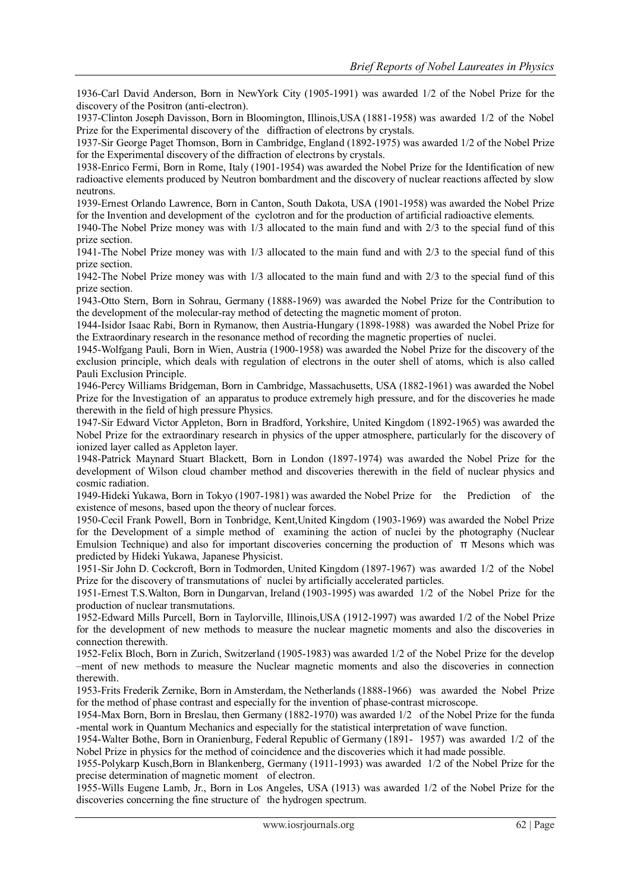1936-Carl David Anderson, Born in NewYork City (1905-1991) was awarded 1/2 of the Nobel Prize for the discovery of the Positron (anti-electron).

1937-Clinton Joseph Davisson, Born in Bloomington, Illinois,USA (1881-1958) was awarded 1/2 of the Nobel Prize for the Experimental discovery of the diffraction of electrons by crystals.

1937-Sir George Paget Thomson, Born in Cambridge, England (1892-1975) was awarded 1/2 of the Nobel Prize for the Experimental discovery of the diffraction of electrons by crystals.

1938-Enrico Fermi, Born in Rome, Italy (1901-1954) was awarded the Nobel Prize for the Identification of new radioactive elements produced by Neutron bombardment and the discovery of nuclear reactions affected by slow neutrons.

1939-Ernest Orlando Lawrence, Born in Canton, South Dakota, USA (1901-1958) was awarded the Nobel Prize for the Invention and development of the cyclotron and for the production of artificial radioactive elements.

1940-The Nobel Prize money was with 1/3 allocated to the main fund and with 2/3 to the special fund of this prize section.

1941-The Nobel Prize money was with 1/3 allocated to the main fund and with 2/3 to the special fund of this prize section.

1942-The Nobel Prize money was with 1/3 allocated to the main fund and with 2/3 to the special fund of this prize section.

1943-Otto Stern, Born in Sohrau, Germany (1888-1969) was awarded the Nobel Prize for the Contribution to the development of the molecular-ray method of detecting the magnetic moment of proton.

1944-Isidor Isaac Rabi, Born in Rymanow, then Austria-Hungary (1898-1988) was awarded the Nobel Prize for the Extraordinary research in the resonance method of recording the magnetic properties of nuclei.

1945-Wolfgang Pauli, Born in Wien, Austria (1900-1958) was awarded the Nobel Prize for the discovery of the exclusion principle, which deals with regulation of electrons in the outer shell of atoms, which is also called Pauli Exclusion Principle.

1946-Percy Williams Bridgeman, Born in Cambridge, Massachusetts, USA (1882-1961) was awarded the Nobel Prize for the Investigation of an apparatus to produce extremely high pressure, and for the discoveries he made therewith in the field of high pressure Physics.

1947-Sir Edward Victor Appleton, Born in Bradford, Yorkshire, United Kingdom (1892-1965) was awarded the Nobel Prize for the extraordinary research in physics of the upper atmosphere, particularly for the discovery of ionized layer called as Appleton layer.

1948-Patrick Maynard Stuart Blackett, Born in London (1897-1974) was awarded the Nobel Prize for the development of Wilson cloud chamber method and discoveries therewith in the field of nuclear physics and cosmic radiation.

1949-Hideki Yukawa, Born in Tokyo (1907-1981) was awarded the Nobel Prize for the Prediction of the existence of mesons, based upon the theory of nuclear forces.

1950-Cecil Frank Powell, Born in Tonbridge, Kent,United Kingdom (1903-1969) was awarded the Nobel Prize for the Development of a simple method of examining the action of nuclei by the photography (Nuclear Emulsion Technique) and also for important discoveries concerning the production of π Mesons which was predicted by Hideki Yukawa, Japanese Physicist.

1951-Sir John D. Cockcroft, Born in Todmorden, United Kingdom (1897-1967) was awarded 1/2 of the Nobel Prize for the discovery of transmutations of nuclei by artificially accelerated particles.

1951-Ernest T.S.Walton, Born in Dungarvan, Ireland (1903-1995) was awarded 1/2 of the Nobel Prize for the production of nuclear transmutations.

1952-Edward Mills Purcell, Born in Taylorville, Illinois,USA (1912-1997) was awarded 1/2 of the Nobel Prize for the development of new methods to measure the nuclear magnetic moments and also the discoveries in connection therewith.

1952-Felix Bloch, Born in Zurich, Switzerland (1905-1983) was awarded 1/2 of the Nobel Prize for the develop –ment of new methods to measure the Nuclear magnetic moments and also the discoveries in connection therewith.

1953-Frits Frederik Zernike, Born in Amsterdam, the Netherlands (1888-1966) was awarded the Nobel Prize for the method of phase contrast and especially for the invention of phase-contrast microscope.

1954-Max Born, Born in Breslau, then Germany (1882-1970) was awarded 1/2 of the Nobel Prize for the funda -mental work in Quantum Mechanics and especially for the statistical interpretation of wave function.

1954-Walter Bothe, Born in Oranienburg, Federal Republic of Germany (1891- 1957) was awarded 1/2 of the Nobel Prize in physics for the method of coincidence and the discoveries which it had made possible.

1955-Polykarp Kusch,Born in Blankenberg, Germany (1911-1993) was awarded 1/2 of the Nobel Prize for the precise determination of magnetic moment of electron.

1955-Wills Eugene Lamb, Jr., Born in Los Angeles, USA (1913) was awarded 1/2 of the Nobel Prize for the discoveries concerning the fine structure of the hydrogen spectrum.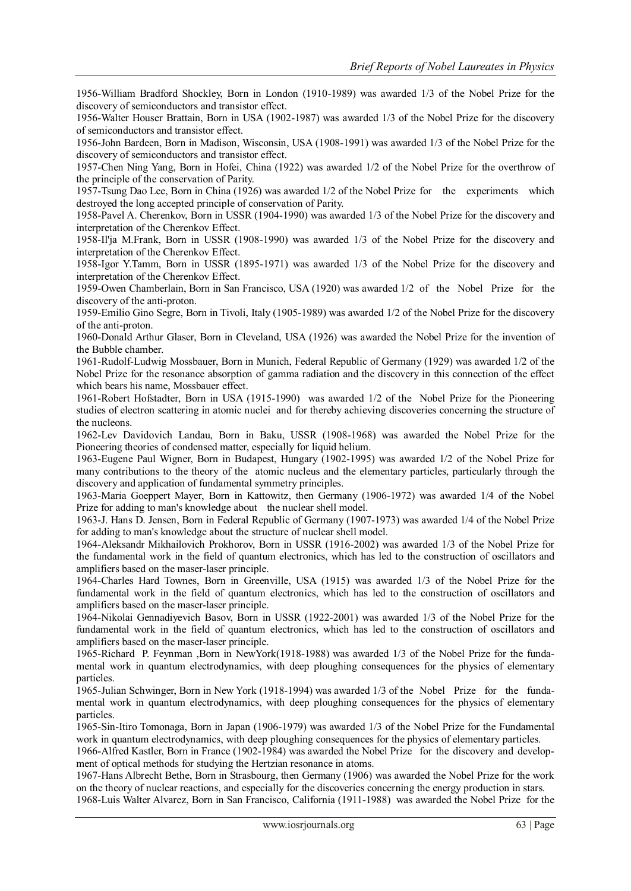1956-William Bradford Shockley, Born in London (1910-1989) was awarded 1/3 of the Nobel Prize for the discovery of semiconductors and transistor effect.

1956-Walter Houser Brattain, Born in USA (1902-1987) was awarded 1/3 of the Nobel Prize for the discovery of semiconductors and transistor effect.

1956-John Bardeen, Born in Madison, Wisconsin, USA (1908-1991) was awarded 1/3 of the Nobel Prize for the discovery of semiconductors and transistor effect.

1957-Chen Ning Yang, Born in Hofei, China (1922) was awarded 1/2 of the Nobel Prize for the overthrow of the principle of the conservation of Parity.

1957-Tsung Dao Lee, Born in China (1926) was awarded 1/2 of the Nobel Prize for the experiments which destroyed the long accepted principle of conservation of Parity.

1958-Pavel A. Cherenkov, Born in USSR (1904-1990) was awarded 1/3 of the Nobel Prize for the discovery and interpretation of the Cherenkov Effect.

1958-Il'ja M.Frank, Born in USSR (1908-1990) was awarded 1/3 of the Nobel Prize for the discovery and interpretation of the Cherenkov Effect.

1958-Igor Y.Tamm, Born in USSR (1895-1971) was awarded 1/3 of the Nobel Prize for the discovery and interpretation of the Cherenkov Effect.

1959-Owen Chamberlain, Born in San Francisco, USA (1920) was awarded 1/2 of the Nobel Prize for the discovery of the anti-proton.

1959-Emilio Gino Segre, Born in Tivoli, Italy (1905-1989) was awarded 1/2 of the Nobel Prize for the discovery of the anti-proton.

1960-Donald Arthur Glaser, Born in Cleveland, USA (1926) was awarded the Nobel Prize for the invention of the Bubble chamber.

1961-Rudolf-Ludwig Mossbauer, Born in Munich, Federal Republic of Germany (1929) was awarded 1/2 of the Nobel Prize for the resonance absorption of gamma radiation and the discovery in this connection of the effect which bears his name, Mossbauer effect.

1961-Robert Hofstadter, Born in USA (1915-1990) was awarded 1/2 of the Nobel Prize for the Pioneering studies of electron scattering in atomic nuclei and for thereby achieving discoveries concerning the structure of the nucleons.

1962-Lev Davidovich Landau, Born in Baku, USSR (1908-1968) was awarded the Nobel Prize for the Pioneering theories of condensed matter, especially for liquid helium.

1963-Eugene Paul Wigner, Born in Budapest, Hungary (1902-1995) was awarded 1/2 of the Nobel Prize for many contributions to the theory of the atomic nucleus and the elementary particles, particularly through the discovery and application of fundamental symmetry principles.

1963-Maria Goeppert Mayer, Born in Kattowitz, then Germany (1906-1972) was awarded 1/4 of the Nobel Prize for adding to man's knowledge about the nuclear shell model.

1963-J. Hans D. Jensen, Born in Federal Republic of Germany (1907-1973) was awarded 1/4 of the Nobel Prize for adding to man's knowledge about the structure of nuclear shell model.

1964-Aleksandr Mikhailovich Prokhorov, Born in USSR (1916-2002) was awarded 1/3 of the Nobel Prize for the fundamental work in the field of quantum electronics, which has led to the construction of oscillators and amplifiers based on the maser-laser principle.

1964-Charles Hard Townes, Born in Greenville, USA (1915) was awarded 1/3 of the Nobel Prize for the fundamental work in the field of quantum electronics, which has led to the construction of oscillators and amplifiers based on the maser-laser principle.

1964-Nikolai Gennadiyevich Basov, Born in USSR (1922-2001) was awarded 1/3 of the Nobel Prize for the fundamental work in the field of quantum electronics, which has led to the construction of oscillators and amplifiers based on the maser-laser principle.

1965-Richard P. Feynman ,Born in NewYork(1918-1988) was awarded 1/3 of the Nobel Prize for the fundamental work in quantum electrodynamics, with deep ploughing consequences for the physics of elementary particles.

1965-Julian Schwinger, Born in New York (1918-1994) was awarded 1/3 of the Nobel Prize for the fundamental work in quantum electrodynamics, with deep ploughing consequences for the physics of elementary particles.

1965-Sin-Itiro Tomonaga, Born in Japan (1906-1979) was awarded 1/3 of the Nobel Prize for the Fundamental work in quantum electrodynamics, with deep ploughing consequences for the physics of elementary particles.

1966-Alfred Kastler, Born in France (1902-1984) was awarded the Nobel Prize for the discovery and development of optical methods for studying the Hertzian resonance in atoms.

1967-Hans Albrecht Bethe, Born in Strasbourg, then Germany (1906) was awarded the Nobel Prize for the work on the theory of nuclear reactions, and especially for the discoveries concerning the energy production in stars.

1968-Luis Walter Alvarez, Born in San Francisco, California (1911-1988) was awarded the Nobel Prize for the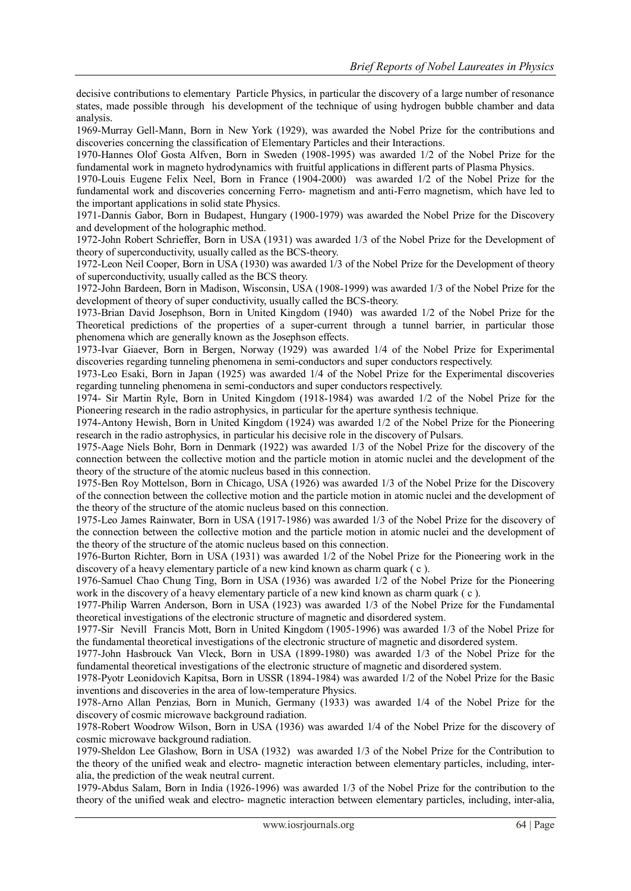decisive contributions to elementary Particle Physics, in particular the discovery of a large number of resonance states, made possible through his development of the technique of using hydrogen bubble chamber and data analysis.

1969-Murray Gell-Mann, Born in New York (1929), was awarded the Nobel Prize for the contributions and discoveries concerning the classification of Elementary Particles and their Interactions.

1970-Hannes Olof Gosta Alfven, Born in Sweden (1908-1995) was awarded 1/2 of the Nobel Prize for the fundamental work in magneto hydrodynamics with fruitful applications in different parts of Plasma Physics.

1970-Louis Eugene Felix Neel, Born in France (1904-2000) was awarded 1/2 of the Nobel Prize for the fundamental work and discoveries concerning Ferro- magnetism and anti-Ferro magnetism, which have led to the important applications in solid state Physics.

1971-Dannis Gabor, Born in Budapest, Hungary (1900-1979) was awarded the Nobel Prize for the Discovery and development of the holographic method.

1972-John Robert Schrieffer, Born in USA (1931) was awarded 1/3 of the Nobel Prize for the Development of theory of superconductivity, usually called as the BCS-theory.

1972-Leon Neil Cooper, Born in USA (1930) was awarded 1/3 of the Nobel Prize for the Development of theory of superconductivity, usually called as the BCS theory.

1972-John Bardeen, Born in Madison, Wisconsin, USA (1908-1999) was awarded 1/3 of the Nobel Prize for the development of theory of super conductivity, usually called the BCS-theory.

1973-Brian David Josephson, Born in United Kingdom (1940) was awarded 1/2 of the Nobel Prize for the Theoretical predictions of the properties of a super-current through a tunnel barrier, in particular those phenomena which are generally known as the Josephson effects.

1973-Ivar Giaever, Born in Bergen, Norway (1929) was awarded 1/4 of the Nobel Prize for Experimental discoveries regarding tunneling phenomena in semi-conductors and super conductors respectively.

1973-Leo Esaki, Born in Japan (1925) was awarded 1/4 of the Nobel Prize for the Experimental discoveries regarding tunneling phenomena in semi-conductors and super conductors respectively.

1974- Sir Martin Ryle, Born in United Kingdom (1918-1984) was awarded 1/2 of the Nobel Prize for the Pioneering research in the radio astrophysics, in particular for the aperture synthesis technique.

1974-Antony Hewish, Born in United Kingdom (1924) was awarded 1/2 of the Nobel Prize for the Pioneering research in the radio astrophysics, in particular his decisive role in the discovery of Pulsars.

1975-Aage Niels Bohr, Born in Denmark (1922) was awarded 1/3 of the Nobel Prize for the discovery of the connection between the collective motion and the particle motion in atomic nuclei and the development of the theory of the structure of the atomic nucleus based in this connection.

1975-Ben Roy Mottelson, Born in Chicago, USA (1926) was awarded 1/3 of the Nobel Prize for the Discovery of the connection between the collective motion and the particle motion in atomic nuclei and the development of the theory of the structure of the atomic nucleus based on this connection.

1975-Leo James Rainwater, Born in USA (1917-1986) was awarded 1/3 of the Nobel Prize for the discovery of the connection between the collective motion and the particle motion in atomic nuclei and the development of the theory of the structure of the atomic nucleus based on this connection.

1976-Burton Richter, Born in USA (1931) was awarded 1/2 of the Nobel Prize for the Pioneering work in the discovery of a heavy elementary particle of a new kind known as charm quark ( c ).

1976-Samuel Chao Chung Ting, Born in USA (1936) was awarded 1/2 of the Nobel Prize for the Pioneering work in the discovery of a heavy elementary particle of a new kind known as charm quark ( c ).

1977-Philip Warren Anderson, Born in USA (1923) was awarded 1/3 of the Nobel Prize for the Fundamental theoretical investigations of the electronic structure of magnetic and disordered system.

1977-Sir Nevill Francis Mott, Born in United Kingdom (1905-1996) was awarded 1/3 of the Nobel Prize for the fundamental theoretical investigations of the electronic structure of magnetic and disordered system.

1977-John Hasbrouck Van Vleck, Born in USA (1899-1980) was awarded 1/3 of the Nobel Prize for the fundamental theoretical investigations of the electronic structure of magnetic and disordered system.

1978-Pyotr Leonidovich Kapitsa, Born in USSR (1894-1984) was awarded 1/2 of the Nobel Prize for the Basic inventions and discoveries in the area of low-temperature Physics.

1978-Arno Allan Penzias, Born in Munich, Germany (1933) was awarded 1/4 of the Nobel Prize for the discovery of cosmic microwave background radiation.

1978-Robert Woodrow Wilson, Born in USA (1936) was awarded 1/4 of the Nobel Prize for the discovery of cosmic microwave background radiation.

1979-Sheldon Lee Glashow, Born in USA (1932) was awarded 1/3 of the Nobel Prize for the Contribution to the theory of the unified weak and electro- magnetic interaction between elementary particles, including, interalia, the prediction of the weak neutral current.

1979-Abdus Salam, Born in India (1926-1996) was awarded 1/3 of the Nobel Prize for the contribution to the theory of the unified weak and electro- magnetic interaction between elementary particles, including, inter-alia,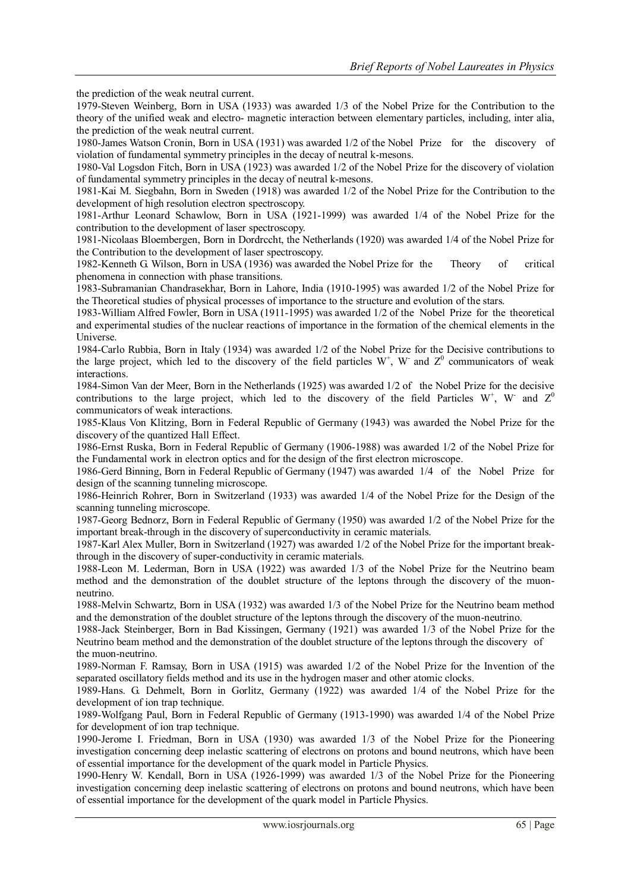the prediction of the weak neutral current.

1979-Steven Weinberg, Born in USA (1933) was awarded 1/3 of the Nobel Prize for the Contribution to the theory of the unified weak and electro- magnetic interaction between elementary particles, including, inter alia, the prediction of the weak neutral current.

1980-James Watson Cronin, Born in USA (1931) was awarded 1/2 of the Nobel Prize for the discovery of violation of fundamental symmetry principles in the decay of neutral k-mesons.

1980-Val Logsdon Fitch, Born in USA (1923) was awarded 1/2 of the Nobel Prize for the discovery of violation of fundamental symmetry principles in the decay of neutral k-mesons.

1981-Kai M. Siegbahn, Born in Sweden (1918) was awarded 1/2 of the Nobel Prize for the Contribution to the development of high resolution electron spectroscopy.

1981-Arthur Leonard Schawlow, Born in USA (1921-1999) was awarded 1/4 of the Nobel Prize for the contribution to the development of laser spectroscopy.

1981-Nicolaas Bloembergen, Born in Dordrccht, the Netherlands (1920) was awarded 1/4 of the Nobel Prize for the Contribution to the development of laser spectroscopy.

1982-Kenneth G. Wilson, Born in USA (1936) was awarded the Nobel Prize for the Theory of critical phenomena in connection with phase transitions.

1983-Subramanian Chandrasekhar, Born in Lahore, India (1910-1995) was awarded 1/2 of the Nobel Prize for the Theoretical studies of physical processes of importance to the structure and evolution of the stars.

1983-William Alfred Fowler, Born in USA (1911-1995) was awarded 1/2 of the Nobel Prize for the theoretical and experimental studies of the nuclear reactions of importance in the formation of the chemical elements in the Universe.

1984-Carlo Rubbia, Born in Italy (1934) was awarded 1/2 of the Nobel Prize for the Decisive contributions to the large project, which led to the discovery of the field particles  $W^+$ , W and  $Z^0$  communicators of weak interactions.

1984-Simon Van der Meer, Born in the Netherlands (1925) was awarded 1/2 of the Nobel Prize for the decisive contributions to the large project, which led to the discovery of the field Particles W<sup>+</sup>, W<sup>-</sup> and  $Z^0$ communicators of weak interactions.

1985-Klaus Von Klitzing, Born in Federal Republic of Germany (1943) was awarded the Nobel Prize for the discovery of the quantized Hall Effect.

1986-Ernst Ruska, Born in Federal Republic of Germany (1906-1988) was awarded 1/2 of the Nobel Prize for the Fundamental work in electron optics and for the design of the first electron microscope.

1986-Gerd Binning, Born in Federal Republic of Germany (1947) was awarded 1/4 of the Nobel Prize for design of the scanning tunneling microscope.

1986-Heinrich Rohrer, Born in Switzerland (1933) was awarded 1/4 of the Nobel Prize for the Design of the scanning tunneling microscope.

1987-Georg Bednorz, Born in Federal Republic of Germany (1950) was awarded 1/2 of the Nobel Prize for the important break-through in the discovery of superconductivity in ceramic materials.

1987-Karl Alex Muller, Born in Switzerland (1927) was awarded 1/2 of the Nobel Prize for the important breakthrough in the discovery of super-conductivity in ceramic materials.

1988-Leon M. Lederman, Born in USA (1922) was awarded 1/3 of the Nobel Prize for the Neutrino beam method and the demonstration of the doublet structure of the leptons through the discovery of the muonneutrino.

1988-Melvin Schwartz, Born in USA (1932) was awarded 1/3 of the Nobel Prize for the Neutrino beam method and the demonstration of the doublet structure of the leptons through the discovery of the muon-neutrino.

1988-Jack Steinberger, Born in Bad Kissingen, Germany (1921) was awarded 1/3 of the Nobel Prize for the Neutrino beam method and the demonstration of the doublet structure of the leptons through the discovery of the muon-neutrino.

1989-Norman F. Ramsay, Born in USA (1915) was awarded 1/2 of the Nobel Prize for the Invention of the separated oscillatory fields method and its use in the hydrogen maser and other atomic clocks.

1989-Hans. G. Dehmelt, Born in Gorlitz, Germany (1922) was awarded 1/4 of the Nobel Prize for the development of ion trap technique.

1989-Wolfgang Paul, Born in Federal Republic of Germany (1913-1990) was awarded 1/4 of the Nobel Prize for development of ion trap technique.

1990-Jerome I. Friedman, Born in USA (1930) was awarded 1/3 of the Nobel Prize for the Pioneering investigation concerning deep inelastic scattering of electrons on protons and bound neutrons, which have been of essential importance for the development of the quark model in Particle Physics.

1990-Henry W. Kendall, Born in USA (1926-1999) was awarded 1/3 of the Nobel Prize for the Pioneering investigation concerning deep inelastic scattering of electrons on protons and bound neutrons, which have been of essential importance for the development of the quark model in Particle Physics.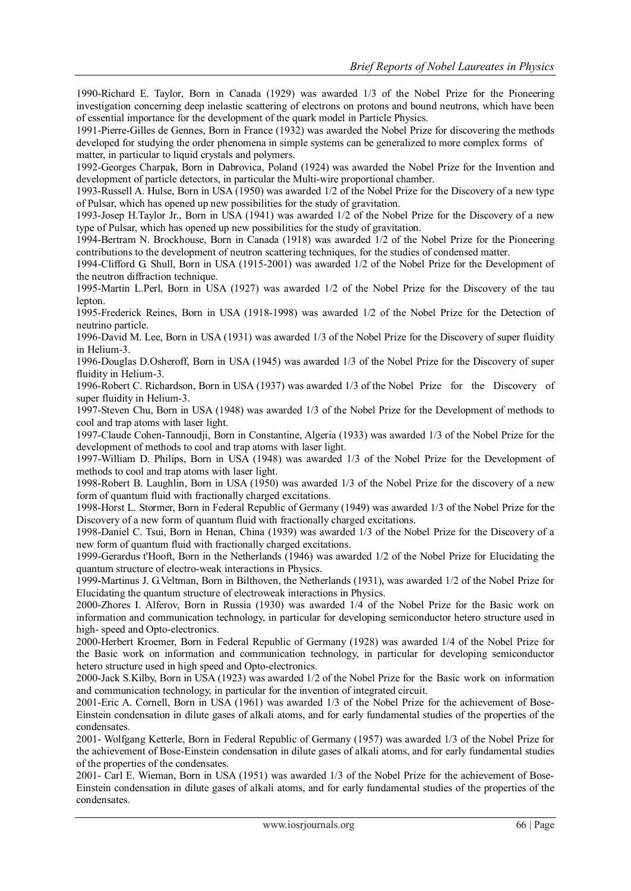1990-Richard E. Taylor, Born in Canada (1929) was awarded 1/3 of the Nobel Prize for the Pioneering investigation concerning deep inelastic scattering of electrons on protons and bound neutrons, which have been of essential importance for the development of the quark model in Particle Physics.

1991-Pierre-Gilles de Gennes, Born in France (1932) was awarded the Nobel Prize for discovering the methods developed for studying the order phenomena in simple systems can be generalized to more complex forms of matter, in particular to liquid crystals and polymers.

1992-Georges Charpak, Born in Dabrovica, Poland (1924) was awarded the Nobel Prize for the Invention and development of particle detectors, in particular the Multi-wire proportional chamber.

1993-Russell A. Hulse, Born in USA (1950) was awarded 1/2 of the Nobel Prize for the Discovery of a new type of Pulsar, which has opened up new possibilities for the study of gravitation.

1993-Josep H.Taylor Jr., Born in USA (1941) was awarded 1/2 of the Nobel Prize for the Discovery of a new type of Pulsar, which has opened up new possibilities for the study of gravitation.

1994-Bertram N. Brockhouse, Born in Canada (1918) was awarded 1/2 of the Nobel Prize for the Pioneering contributions to the development of neutron scattering techniques, for the studies of condensed matter.

1994-Clifford G. Shull, Born in USA (1915-2001) was awarded 1/2 of the Nobel Prize for the Development of the neutron diffraction technique.

1995-Martin L.Perl, Born in USA (1927) was awarded 1/2 of the Nobel Prize for the Discovery of the tau lepton.

1995-Frederick Reines, Born in USA (1918-1998) was awarded 1/2 of the Nobel Prize for the Detection of neutrino particle.

1996-David M. Lee, Born in USA (1931) was awarded 1/3 of the Nobel Prize for the Discovery of super fluidity in Helium-3.

1996-Douglas D.Osheroff, Born in USA (1945) was awarded 1/3 of the Nobel Prize for the Discovery of super fluidity in Helium-3.

1996-Robert C. Richardson, Born in USA (1937) was awarded 1/3 of the Nobel Prize for the Discovery of super fluidity in Helium-3.

1997-Steven Chu, Born in USA (1948) was awarded 1/3 of the Nobel Prize for the Development of methods to cool and trap atoms with laser light.

1997-Claude Cohen-Tannoudji, Born in Constantine, Algeria (1933) was awarded 1/3 of the Nobel Prize for the development of methods to cool and trap atoms with laser light.

1997-William D. Philips, Born in USA (1948) was awarded 1/3 of the Nobel Prize for the Development of methods to cool and trap atoms with laser light.

1998-Robert B. Laughlin, Born in USA (1950) was awarded 1/3 of the Nobel Prize for the discovery of a new form of quantum fluid with fractionally charged excitations.

1998-Horst L. Stormer, Born in Federal Republic of Germany (1949) was awarded 1/3 of the Nobel Prize for the Discovery of a new form of quantum fluid with fractionally charged excitations.

1998-Daniel C. Tsui, Born in Henan, China (1939) was awarded 1/3 of the Nobel Prize for the Discovery of a new form of quantum fluid with fractionally charged excitations.

1999-Gerardus t'Hooft, Born in the Netherlands (1946) was awarded 1/2 of the Nobel Prize for Elucidating the quantum structure of electro-weak interactions in Physics.

1999-Martinus J. G.Veltman, Born in Bilthoven, the Netherlands (1931), was awarded 1/2 of the Nobel Prize for Elucidating the quantum structure of electroweak interactions in Physics.

2000-Zhores I. Alferov, Born in Russia (1930) was awarded 1/4 of the Nobel Prize for the Basic work on information and communication technology, in particular for developing semiconductor hetero structure used in high- speed and Opto-electronics.

2000-Herbert Kroemer, Born in Federal Republic of Germany (1928) was awarded 1/4 of the Nobel Prize for the Basic work on information and communication technology, in particular for developing semiconductor hetero structure used in high speed and Opto-electronics.

2000-Jack S.Kilby, Born in USA (1923) was awarded 1/2 of the Nobel Prize for the Basic work on information and communication technology, in particular for the invention of integrated circuit.

2001-Eric A. Cornell, Born in USA (1961) was awarded 1/3 of the Nobel Prize for the achievement of Bose-Einstein condensation in dilute gases of alkali atoms, and for early fundamental studies of the properties of the condensates.

2001- Wolfgang Ketterle, Born in Federal Republic of Germany (1957) was awarded 1/3 of the Nobel Prize for the achievement of Bose-Einstein condensation in dilute gases of alkali atoms, and for early fundamental studies of the properties of the condensates.

2001- Carl E. Wieman, Born in USA (1951) was awarded 1/3 of the Nobel Prize for the achievement of Bose-Einstein condensation in dilute gases of alkali atoms, and for early fundamental studies of the properties of the condensates.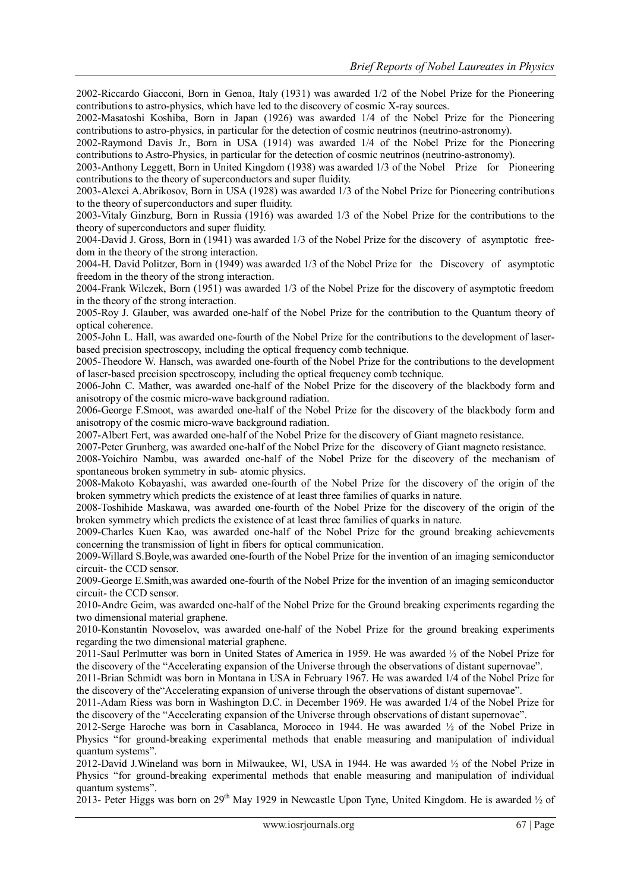2002-Riccardo Giacconi, Born in Genoa, Italy (1931) was awarded 1/2 of the Nobel Prize for the Pioneering contributions to astro-physics, which have led to the discovery of cosmic X-ray sources.

2002-Masatoshi Koshiba, Born in Japan (1926) was awarded 1/4 of the Nobel Prize for the Pioneering contributions to astro-physics, in particular for the detection of cosmic neutrinos (neutrino-astronomy).

2002-Raymond Davis Jr., Born in USA (1914) was awarded 1/4 of the Nobel Prize for the Pioneering contributions to Astro-Physics, in particular for the detection of cosmic neutrinos (neutrino-astronomy).

2003-Anthony Leggett, Born in United Kingdom (1938) was awarded 1/3 of the Nobel Prize for Pioneering contributions to the theory of superconductors and super fluidity.

2003-Alexei A.Abrikosov, Born in USA (1928) was awarded 1/3 of the Nobel Prize for Pioneering contributions to the theory of superconductors and super fluidity.

2003-Vitaly Ginzburg, Born in Russia (1916) was awarded 1/3 of the Nobel Prize for the contributions to the theory of superconductors and super fluidity.

2004-David J. Gross, Born in (1941) was awarded 1/3 of the Nobel Prize for the discovery of asymptotic freedom in the theory of the strong interaction.

2004-H. David Politzer, Born in (1949) was awarded 1/3 of the Nobel Prize for the Discovery of asymptotic freedom in the theory of the strong interaction.

2004-Frank Wilczek, Born (1951) was awarded 1/3 of the Nobel Prize for the discovery of asymptotic freedom in the theory of the strong interaction.

2005-Roy J. Glauber, was awarded one-half of the Nobel Prize for the contribution to the Quantum theory of optical coherence.

2005-John L. Hall, was awarded one-fourth of the Nobel Prize for the contributions to the development of laserbased precision spectroscopy, including the optical frequency comb technique.

2005-Theodore W. Hansch, was awarded one-fourth of the Nobel Prize for the contributions to the development of laser-based precision spectroscopy, including the optical frequency comb technique.

2006-John C. Mather, was awarded one-half of the Nobel Prize for the discovery of the blackbody form and anisotropy of the cosmic micro-wave background radiation.

2006-George F.Smoot, was awarded one-half of the Nobel Prize for the discovery of the blackbody form and anisotropy of the cosmic micro-wave background radiation.

2007-Albert Fert, was awarded one-half of the Nobel Prize for the discovery of Giant magneto resistance.

2007-Peter Grunberg, was awarded one-half of the Nobel Prize for the discovery of Giant magneto resistance.

2008-Yoichiro Nambu, was awarded one-half of the Nobel Prize for the discovery of the mechanism of spontaneous broken symmetry in sub- atomic physics.

2008-Makoto Kobayashi, was awarded one-fourth of the Nobel Prize for the discovery of the origin of the broken symmetry which predicts the existence of at least three families of quarks in nature.

2008-Toshihide Maskawa, was awarded one-fourth of the Nobel Prize for the discovery of the origin of the broken symmetry which predicts the existence of at least three families of quarks in nature.

2009-Charles Kuen Kao, was awarded one-half of the Nobel Prize for the ground breaking achievements concerning the transmission of light in fibers for optical communication.

2009-Willard S.Boyle,was awarded one-fourth of the Nobel Prize for the invention of an imaging semiconductor circuit- the CCD sensor.

2009-George E.Smith,was awarded one-fourth of the Nobel Prize for the invention of an imaging semiconductor circuit- the CCD sensor.

2010-Andre Geim, was awarded one-half of the Nobel Prize for the Ground breaking experiments regarding the two dimensional material graphene.

2010-Konstantin Novoselov, was awarded one-half of the Nobel Prize for the ground breaking experiments regarding the two dimensional material graphene.

2011-Saul Perlmutter was born in United States of America in 1959. He was awarded ½ of the Nobel Prize for the discovery of the "Accelerating expansion of the Universe through the observations of distant supernovae".

2011-Brian Schmidt was born in Montana in USA in February 1967. He was awarded 1/4 of the Nobel Prize for the discovery of the"Accelerating expansion of universe through the observations of distant supernovae".

2011-Adam Riess was born in Washington D.C. in December 1969. He was awarded 1/4 of the Nobel Prize for the discovery of the "Accelerating expansion of the Universe through observations of distant supernovae".

2012-Serge Haroche was born in Casablanca, Morocco in 1944. He was awarded ½ of the Nobel Prize in Physics "for ground-breaking experimental methods that enable measuring and manipulation of individual quantum systems".

2012-David J.Wineland was born in Milwaukee, WI, USA in 1944. He was awarded ½ of the Nobel Prize in Physics "for ground-breaking experimental methods that enable measuring and manipulation of individual quantum systems".

2013- Peter Higgs was born on 29<sup>th</sup> May 1929 in Newcastle Upon Tyne, United Kingdom. He is awarded  $\frac{1}{2}$  of